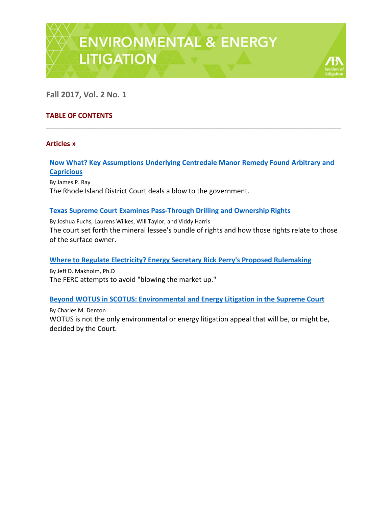

**Fall 2017, Vol. 2 No. 1**

# **TABLE OF CONTENTS**

#### **Articles »**

## **Now What? Key Assumptions Underlying Centredale Manor Remedy Found Arbitrary and Capricious**

\_\_\_\_\_\_\_\_\_\_\_\_\_\_\_\_\_\_\_\_\_\_\_\_\_\_\_\_\_\_\_\_\_\_\_\_\_\_\_\_\_\_\_\_\_\_\_\_\_\_\_\_\_\_\_\_\_\_\_\_\_\_\_\_\_\_\_\_\_\_\_\_\_\_\_\_\_

By James P. Ray The Rhode Island District Court deals a blow to the government.

#### **Texas Supreme Court Examines Pass-Through Drilling and Ownership Rights**

By Joshua Fuchs, Laurens Wilkes, Will Taylor, and Viddy Harris The court set forth the mineral lessee's bundle of rights and how those rights relate to those of the surface owner.

## **Where to Regulate Electricity? Energy Secretary Rick Perry's Proposed Rulemaking**

By Jeff D. Makholm, Ph.D The FERC attempts to avoid "blowing the market up."

## **Beyond WOTUS in SCOTUS: Environmental and Energy Litigation in the Supreme Court**

By Charles M. Denton WOTUS is not the only environmental or energy litigation appeal that will be, or might be, decided by the Court.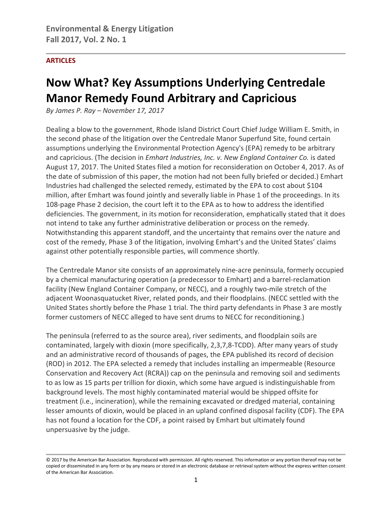# **ARTICLES**

# **Now What? Key Assumptions Underlying Centredale Manor Remedy Found Arbitrary and Capricious**

*By James P. Ray – November 17, 2017*

Dealing a blow to the government, Rhode Island District Court Chief Judge William E. Smith, in the second phase of the litigation over the Centredale Manor Superfund Site, found certain assumptions underlying the Environmental Protection Agency's (EPA) remedy to be arbitrary and capricious. (The decision in *Emhart Industries, Inc. v. New England Container Co.* is dated August 17, 2017. The United States filed a motion for reconsideration on October 4, 2017. As of the date of submission of this paper, the motion had not been fully briefed or decided.) Emhart Industries had challenged the selected remedy, estimated by the EPA to cost about \$104 million, after Emhart was found jointly and severally liable in Phase 1 of the proceedings. In its 108-page Phase 2 decision, the court left it to the EPA as to how to address the identified deficiencies. The government, in its motion for reconsideration, emphatically stated that it does not intend to take any further administrative deliberation or process on the remedy. Notwithstanding this apparent standoff, and the uncertainty that remains over the nature and cost of the remedy, Phase 3 of the litigation, involving Emhart's and the United States' claims against other potentially responsible parties, will commence shortly.

The Centredale Manor site consists of an approximately nine-acre peninsula, formerly occupied by a chemical manufacturing operation (a predecessor to Emhart) and a barrel-reclamation facility (New England Container Company, or NECC), and a roughly two-mile stretch of the adjacent Woonasquatucket River, related ponds, and their floodplains. (NECC settled with the United States shortly before the Phase 1 trial. The third party defendants in Phase 3 are mostly former customers of NECC alleged to have sent drums to NECC for reconditioning.)

The peninsula (referred to as the source area), river sediments, and floodplain soils are contaminated, largely with dioxin (more specifically, 2,3,7,8-TCDD). After many years of study and an administrative record of thousands of pages, the EPA published its record of decision (ROD) in 2012. The EPA selected a remedy that includes installing an impermeable (Resource Conservation and Recovery Act (RCRA)) cap on the peninsula and removing soil and sediments to as low as 15 parts per trillion for dioxin, which some have argued is indistinguishable from background levels. The most highly contaminated material would be shipped offsite for treatment (i.e., incineration), while the remaining excavated or dredged material, containing lesser amounts of dioxin, would be placed in an upland confined disposal facility (CDF). The EPA has not found a location for the CDF, a point raised by Emhart but ultimately found unpersuasive by the judge.

<sup>© 2017</sup> by the American Bar Association. Reproduced with permission. All rights reserved. This information or any portion thereof may not be copied or disseminated in any form or by any means or stored in an electronic database or retrieval system without the express written consent of the American Bar Association.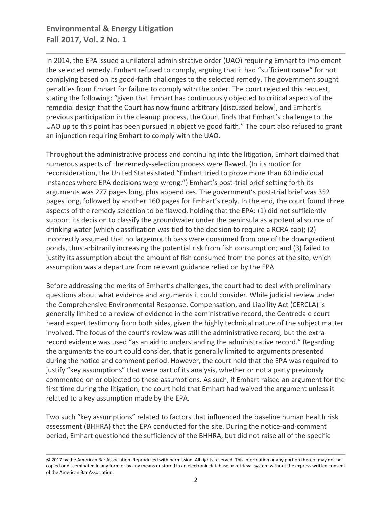# **Environmental & Energy Litigation Fall 2017, Vol. 2 No. 1**

In 2014, the EPA issued a unilateral administrative order (UAO) requiring Emhart to implement the selected remedy. Emhart refused to comply, arguing that it had "sufficient cause" for not complying based on its good-faith challenges to the selected remedy. The government sought penalties from Emhart for failure to comply with the order. The court rejected this request, stating the following: "given that Emhart has continuously objected to critical aspects of the remedial design that the Court has now found arbitrary [discussed below], and Emhart's previous participation in the cleanup process, the Court finds that Emhart's challenge to the UAO up to this point has been pursued in objective good faith." The court also refused to grant an injunction requiring Emhart to comply with the UAO.

Throughout the administrative process and continuing into the litigation, Emhart claimed that numerous aspects of the remedy-selection process were flawed. (In its motion for reconsideration, the United States stated "Emhart tried to prove more than 60 individual instances where EPA decisions were wrong.") Emhart's post-trial brief setting forth its arguments was 277 pages long, plus appendices. The government's post-trial brief was 352 pages long, followed by another 160 pages for Emhart's reply. In the end, the court found three aspects of the remedy selection to be flawed, holding that the EPA: (1) did not sufficiently support its decision to classify the groundwater under the peninsula as a potential source of drinking water (which classification was tied to the decision to require a RCRA cap); (2) incorrectly assumed that no largemouth bass were consumed from one of the downgradient ponds, thus arbitrarily increasing the potential risk from fish consumption; and (3) failed to justify its assumption about the amount of fish consumed from the ponds at the site, which assumption was a departure from relevant guidance relied on by the EPA.

Before addressing the merits of Emhart's challenges, the court had to deal with preliminary questions about what evidence and arguments it could consider. While judicial review under the Comprehensive Environmental Response, Compensation, and Liability Act (CERCLA) is generally limited to a review of evidence in the administrative record, the Centredale court heard expert testimony from both sides, given the highly technical nature of the subject matter involved. The focus of the court's review was still the administrative record, but the extrarecord evidence was used "as an aid to understanding the administrative record." Regarding the arguments the court could consider, that is generally limited to arguments presented during the notice and comment period. However, the court held that the EPA was required to justify "key assumptions" that were part of its analysis, whether or not a party previously commented on or objected to these assumptions. As such, if Emhart raised an argument for the first time during the litigation, the court held that Emhart had waived the argument unless it related to a key assumption made by the EPA.

Two such "key assumptions" related to factors that influenced the baseline human health risk assessment (BHHRA) that the EPA conducted for the site. During the notice-and-comment period, Emhart questioned the sufficiency of the BHHRA, but did not raise all of the specific

<sup>© 2017</sup> by the American Bar Association. Reproduced with permission. All rights reserved. This information or any portion thereof may not be copied or disseminated in any form or by any means or stored in an electronic database or retrieval system without the express written consent of the American Bar Association.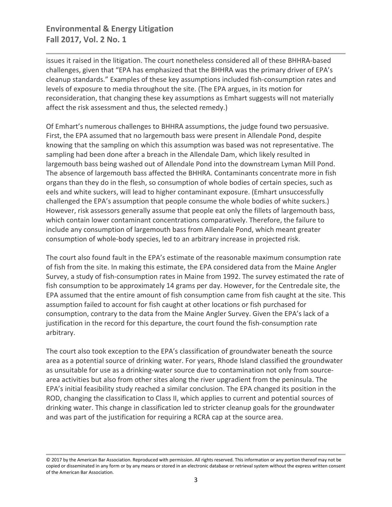# **Environmental & Energy Litigation Fall 2017, Vol. 2 No. 1**

issues it raised in the litigation. The court nonetheless considered all of these BHHRA-based challenges, given that "EPA has emphasized that the BHHRA was the primary driver of EPA's cleanup standards." Examples of these key assumptions included fish-consumption rates and levels of exposure to media throughout the site. (The EPA argues, in its motion for reconsideration, that changing these key assumptions as Emhart suggests will not materially affect the risk assessment and thus, the selected remedy.)

Of Emhart's numerous challenges to BHHRA assumptions, the judge found two persuasive. First, the EPA assumed that no largemouth bass were present in Allendale Pond, despite knowing that the sampling on which this assumption was based was not representative. The sampling had been done after a breach in the Allendale Dam, which likely resulted in largemouth bass being washed out of Allendale Pond into the downstream Lyman Mill Pond. The absence of largemouth bass affected the BHHRA. Contaminants concentrate more in fish organs than they do in the flesh, so consumption of whole bodies of certain species, such as eels and white suckers, will lead to higher contaminant exposure. (Emhart unsuccessfully challenged the EPA's assumption that people consume the whole bodies of white suckers.) However, risk assessors generally assume that people eat only the fillets of largemouth bass, which contain lower contaminant concentrations comparatively. Therefore, the failure to include any consumption of largemouth bass from Allendale Pond, which meant greater consumption of whole-body species, led to an arbitrary increase in projected risk.

The court also found fault in the EPA's estimate of the reasonable maximum consumption rate of fish from the site. In making this estimate, the EPA considered data from the Maine Angler Survey, a study of fish-consumption rates in Maine from 1992. The survey estimated the rate of fish consumption to be approximately 14 grams per day. However, for the Centredale site, the EPA assumed that the entire amount of fish consumption came from fish caught at the site. This assumption failed to account for fish caught at other locations or fish purchased for consumption, contrary to the data from the Maine Angler Survey. Given the EPA's lack of a justification in the record for this departure, the court found the fish-consumption rate arbitrary.

The court also took exception to the EPA's classification of groundwater beneath the source area as a potential source of drinking water. For years, Rhode Island classified the groundwater as unsuitable for use as a drinking-water source due to contamination not only from sourcearea activities but also from other sites along the river upgradient from the peninsula. The EPA's initial feasibility study reached a similar conclusion. The EPA changed its position in the ROD, changing the classification to Class II, which applies to current and potential sources of drinking water. This change in classification led to stricter cleanup goals for the groundwater and was part of the justification for requiring a RCRA cap at the source area.

<sup>© 2017</sup> by the American Bar Association. Reproduced with permission. All rights reserved. This information or any portion thereof may not be copied or disseminated in any form or by any means or stored in an electronic database or retrieval system without the express written consent of the American Bar Association.